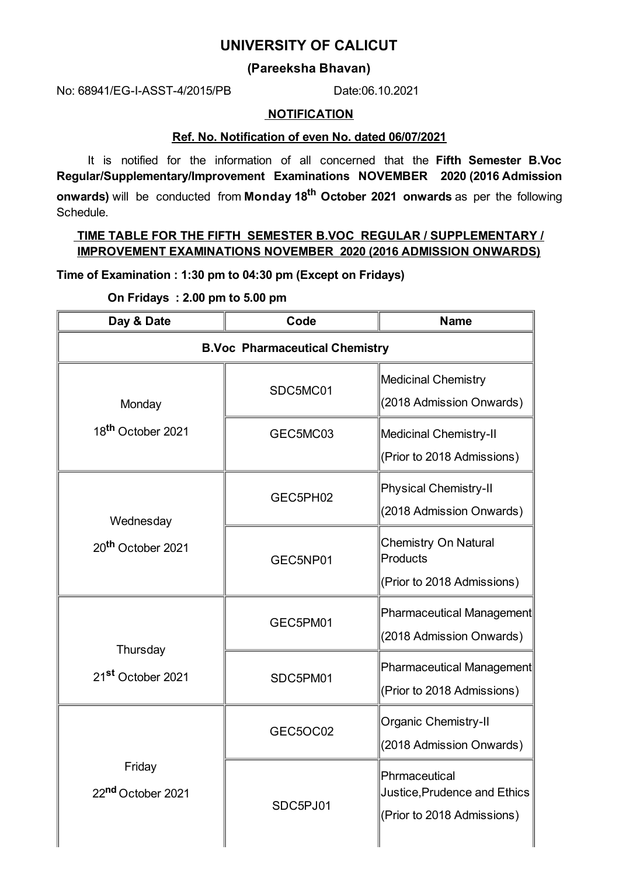# **UNIVERSITY OF CALICUT**

## **(Pareeksha Bhavan)**

No: 68941/EG-I-ASST-4/2015/PB Date:06.10.2021

#### **NOTIFICATION**

### **Ref. No. Notification of even No. dated 06/07/2021**

It is notified for the information of all concerned that the **Fifth Semester B.Voc Regular/Supplementary/Improvement Examinations NOVEMBER 2020 (2016 Admission onwards)** will be conducted from **Monday 18 th October 2021 onwards** as per the following Schedule.

## **TIME TABLE FOR THE FIFTH SEMESTER B.VOC REGULAR / SUPPLEMENTARY / IMPROVEMENT EXAMINATIONS NOVEMBER 2020 (2016 ADMISSION ONWARDS)**

**Time of Examination : 1:30 pm to 04:30 pm (Except on Fridays)**

**On Fridays : 2.00 pm to 5.00 pm**

| Day & Date                                | Code                                  | <b>Name</b>                                                                 |
|-------------------------------------------|---------------------------------------|-----------------------------------------------------------------------------|
|                                           | <b>B.Voc Pharmaceutical Chemistry</b> |                                                                             |
| Monday                                    | SDC5MC01                              | Medicinal Chemistry<br>(2018 Admission Onwards)                             |
| 18 <sup>th</sup> October 2021             | GEC5MC03                              | Medicinal Chemistry-II<br>(Prior to 2018 Admissions)                        |
| Wednesday                                 | GEC5PH02                              | <b>Physical Chemistry-II</b><br>(2018 Admission Onwards)                    |
| 20 <sup>th</sup> October 2021             | GEC5NP01                              | <b>Chemistry On Natural</b><br>Products<br>(Prior to 2018 Admissions)       |
| Thursday<br>21 <sup>st</sup> October 2021 | GEC5PM01                              | Pharmaceutical Management<br>(2018 Admission Onwards)                       |
|                                           | SDC5PM01                              | Pharmaceutical Management<br>(Prior to 2018 Admissions)                     |
| Friday<br>22nd October 2021               | GEC5OC02                              | <b>Organic Chemistry-II</b><br>(2018 Admission Onwards)                     |
|                                           | SDC5PJ01                              | Phrmaceutical<br>Justice, Prudence and Ethics<br>(Prior to 2018 Admissions) |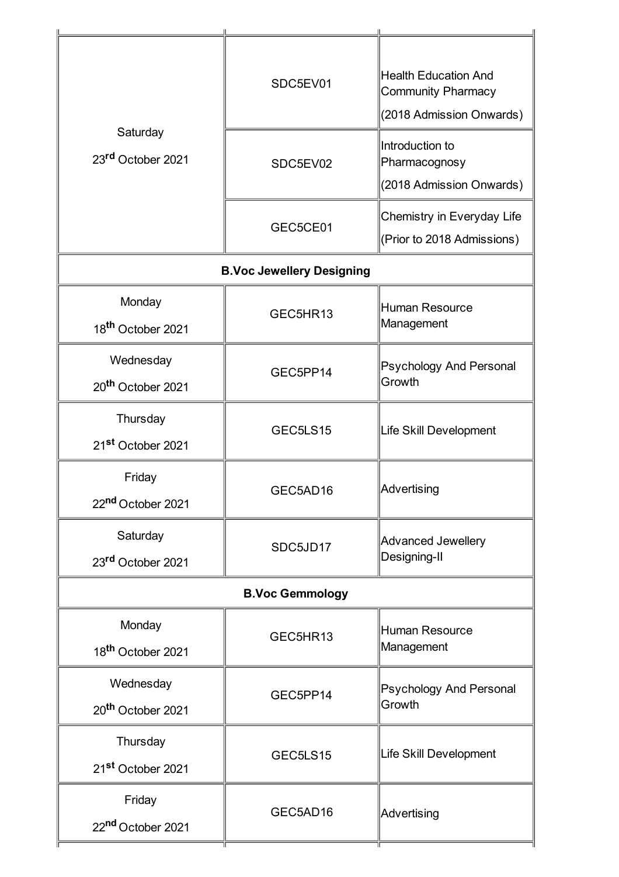| Saturday<br>23rd October 2021              | SDC5EV01                         | <b>Health Education And</b><br><b>Community Pharmacy</b><br>(2018 Admission Onwards) |  |
|--------------------------------------------|----------------------------------|--------------------------------------------------------------------------------------|--|
|                                            | SDC5EV02                         | Introduction to<br>Pharmacognosy<br>(2018 Admission Onwards)                         |  |
|                                            | GEC5CE01                         | Chemistry in Everyday Life<br>(Prior to 2018 Admissions)                             |  |
|                                            | <b>B.Voc Jewellery Designing</b> |                                                                                      |  |
| Monday<br>18 <sup>th</sup> October 2021    | GEC5HR13                         | <b>Human Resource</b><br>Management                                                  |  |
| Wednesday<br>20 <sup>th</sup> October 2021 | GEC5PP14                         | Psychology And Personal<br>Growth                                                    |  |
| Thursday<br>21 <sup>st</sup> October 2021  | GEC5LS15                         | Life Skill Development                                                               |  |
| Friday<br>22nd October 2021                | GEC5AD16                         | Advertising                                                                          |  |
| Saturday<br>23rd October 2021              | SDC5JD17                         | <b>Advanced Jewellery</b><br>Designing-II                                            |  |
| <b>B.Voc Gemmology</b>                     |                                  |                                                                                      |  |
| Monday<br>18 <sup>th</sup> October 2021    | GEC5HR13                         | <b>Human Resource</b><br>Management                                                  |  |
| Wednesday<br>20 <sup>th</sup> October 2021 | GEC5PP14                         | <b>Psychology And Personal</b><br>Growth                                             |  |
| Thursday<br>21 <sup>st</sup> October 2021  | GEC5LS15                         | Life Skill Development                                                               |  |
| Friday<br>22nd October 2021                | GEC5AD16                         | Advertising                                                                          |  |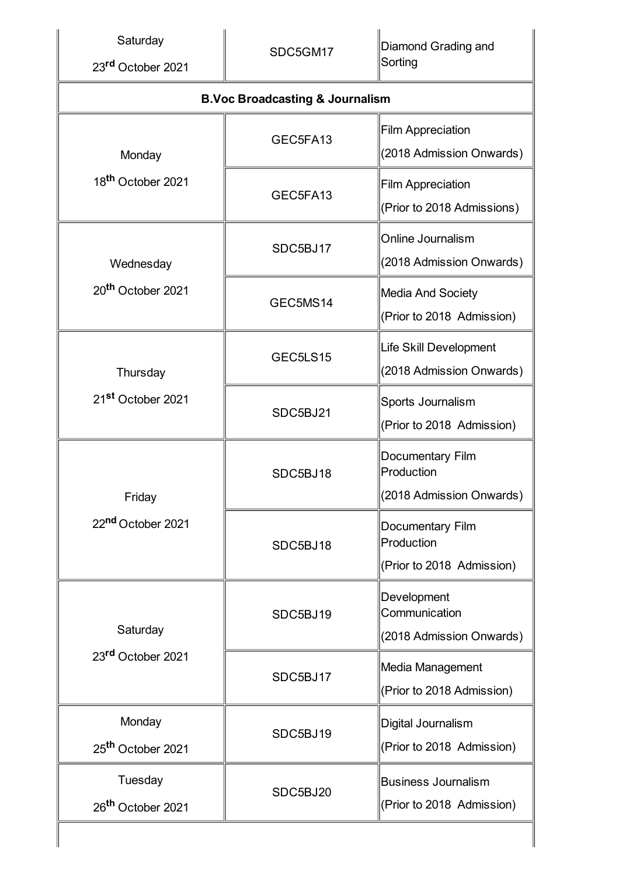| Saturday<br>23rd October 2021             | SDC5GM17                                   | Diamond Grading and<br>Sorting                              |  |  |
|-------------------------------------------|--------------------------------------------|-------------------------------------------------------------|--|--|
|                                           | <b>B.Voc Broadcasting &amp; Journalism</b> |                                                             |  |  |
| Monday                                    | GEC5FA13                                   | <b>Film Appreciation</b><br>(2018 Admission Onwards)        |  |  |
| 18 <sup>th</sup> October 2021             | GEC5FA13                                   | <b>Film Appreciation</b><br>(Prior to 2018 Admissions)      |  |  |
| Wednesday                                 | SDC5BJ17                                   | Online Journalism<br>(2018 Admission Onwards)               |  |  |
| 20 <sup>th</sup> October 2021             | GEC5MS14                                   | Media And Society<br>(Prior to 2018 Admission)              |  |  |
| Thursday<br>21 <sup>st</sup> October 2021 | GEC5LS15                                   | <b>Life Skill Development</b><br>(2018 Admission Onwards)   |  |  |
|                                           | SDC5BJ21                                   | Sports Journalism<br>(Prior to 2018 Admission)              |  |  |
| Friday<br>22 <sup>nd</sup> October 2021   | SDC5BJ18                                   | Documentary Film<br>Production<br>(2018 Admission Onwards)  |  |  |
|                                           | SDC5BJ18                                   | Documentary Film<br>Production<br>(Prior to 2018 Admission) |  |  |
| Saturday<br>23rd October 2021             | SDC5BJ19                                   | Development<br>Communication<br>(2018 Admission Onwards)    |  |  |
|                                           | SDC5BJ17                                   | Media Management<br>(Prior to 2018 Admission)               |  |  |
| Monday<br>25 <sup>th</sup> October 2021   | SDC5BJ19                                   | Digital Journalism<br>(Prior to 2018 Admission)             |  |  |
| Tuesday<br>26 <sup>th</sup> October 2021  | SDC5BJ20                                   | <b>Business Journalism</b><br>(Prior to 2018 Admission)     |  |  |
|                                           |                                            |                                                             |  |  |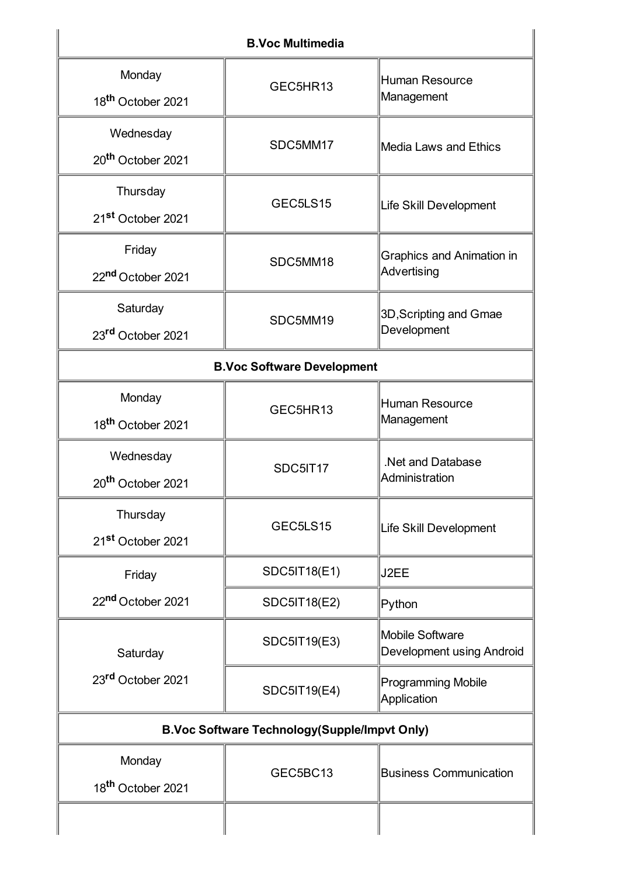| <b>B.Voc Multimedia</b>                             |                     |                                                 |  |
|-----------------------------------------------------|---------------------|-------------------------------------------------|--|
| Monday<br>18 <sup>th</sup> October 2021             | GEC5HR13            | Human Resource<br>Management                    |  |
| Wednesday<br>20 <sup>th</sup> October 2021          | SDC5MM17            | Media Laws and Ethics                           |  |
| Thursday<br>21 <sup>st</sup> October 2021           | GEC5LS15            | Life Skill Development                          |  |
| Friday<br>22nd October 2021                         | SDC5MM18            | <b>Graphics and Animation in</b><br>Advertising |  |
| Saturday<br>23rd October 2021                       | SDC5MM19            | 3D, Scripting and Gmae<br>Development           |  |
| <b>B.Voc Software Development</b>                   |                     |                                                 |  |
| Monday<br>18 <sup>th</sup> October 2021             | GEC5HR13            | Human Resource<br>Management                    |  |
| Wednesday<br>20 <sup>th</sup> October 2021          | SDC5IT17            | .Net and Database<br>Administration             |  |
| Thursday<br>21 <sup>st</sup> October 2021           | GEC5LS15            | Life Skill Development                          |  |
| Friday                                              | <b>SDC5IT18(E1)</b> | J2EE                                            |  |
| 22nd October 2021                                   | <b>SDC5IT18(E2)</b> | Python                                          |  |
| Saturday                                            | SDC5IT19(E3)        | Mobile Software<br>Development using Android    |  |
| 23rd October 2021                                   | <b>SDC5IT19(E4)</b> | <b>Programming Mobile</b><br>Application        |  |
| <b>B.Voc Software Technology(Supple/Impvt Only)</b> |                     |                                                 |  |
| Monday<br>18 <sup>th</sup> October 2021             | GEC5BC13            | <b>Business Communication</b>                   |  |
|                                                     |                     |                                                 |  |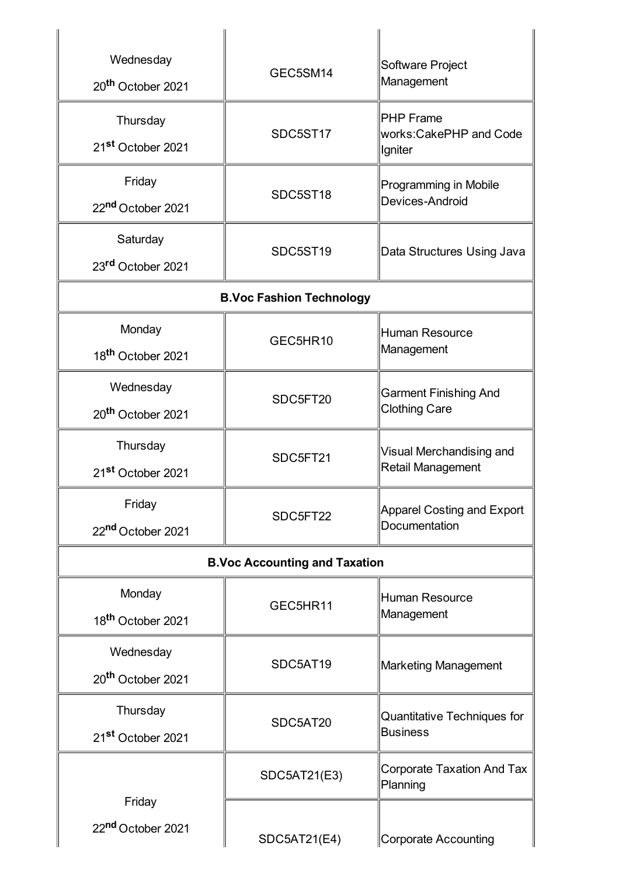| Wednesday                            | GEC5SM14                        | Software Project<br>Management                         |  |
|--------------------------------------|---------------------------------|--------------------------------------------------------|--|
| 20 <sup>th</sup> October 2021        |                                 |                                                        |  |
| Thursday                             |                                 | <b>PHP</b> Frame<br>works:CakePHP and Code<br> Igniter |  |
| 21 <sup>st</sup> October 2021        | SDC5ST17                        |                                                        |  |
| Friday                               |                                 | Programming in Mobile                                  |  |
| 22nd October 2021                    | SDC5ST18                        | Devices-Android                                        |  |
| Saturday                             |                                 |                                                        |  |
| 23rd October 2021                    | SDC5ST19                        | Data Structures Using Java                             |  |
|                                      | <b>B.Voc Fashion Technology</b> |                                                        |  |
| Monday                               |                                 | <b>Human Resource</b>                                  |  |
| 18 <sup>th</sup> October 2021        | GEC5HR10                        | Management                                             |  |
| Wednesday                            |                                 | <b>Garment Finishing And</b>                           |  |
| 20 <sup>th</sup> October 2021        | SDC5FT20                        | <b>Clothing Care</b>                                   |  |
| Thursday                             | SDC5FT21                        | Visual Merchandising and<br><b>Retail Management</b>   |  |
| 21 <sup>st</sup> October 2021        |                                 |                                                        |  |
| Friday                               | SDC5FT22                        | Apparel Costing and Export<br>Documentation            |  |
| 22 <sup>nd</sup> October 2021        |                                 |                                                        |  |
| <b>B.Voc Accounting and Taxation</b> |                                 |                                                        |  |
| Monday                               | GEC5HR11                        | <b>Human Resource</b><br>Management                    |  |
| 18 <sup>th</sup> October 2021        |                                 |                                                        |  |
| Wednesday                            | SDC5AT19                        | Marketing Management                                   |  |
| 20 <sup>th</sup> October 2021        |                                 |                                                        |  |
| Thursday                             | SDC5AT20                        | Quantitative Techniques for                            |  |
| 21st October 2021                    |                                 | <b>Business</b>                                        |  |
|                                      | SDC5AT21(E3)                    | <b>Corporate Taxation And Tax</b><br>Planning          |  |
| Friday                               |                                 |                                                        |  |
| 22nd October 2021                    | <b>SDC5AT21(E4)</b>             | Corporate Accounting                                   |  |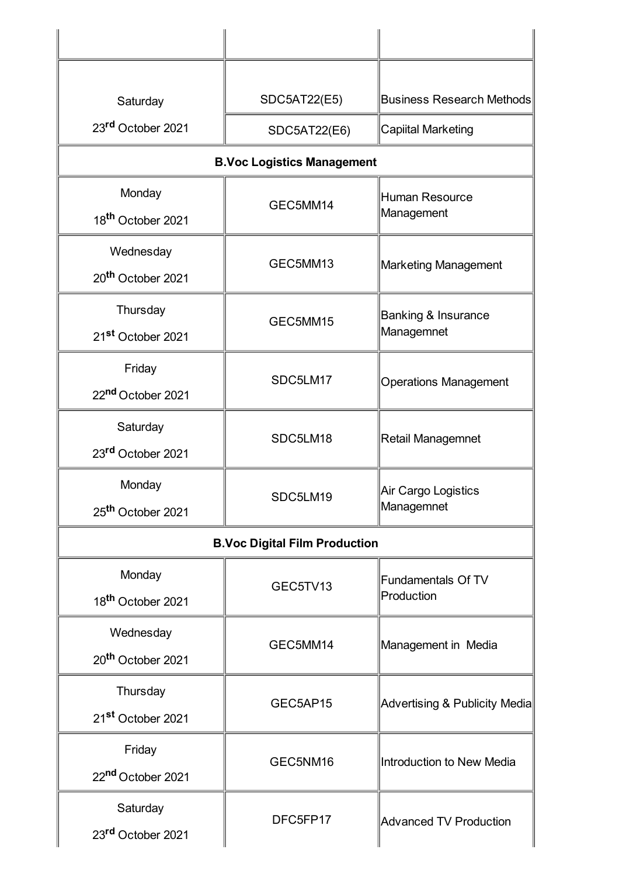| Saturday                             | <b>SDC5AT22(E5)</b>               | <b>Business Research Methods</b>        |  |
|--------------------------------------|-----------------------------------|-----------------------------------------|--|
| 23rd October 2021                    | <b>SDC5AT22(E6)</b>               | <b>Capiital Marketing</b>               |  |
|                                      | <b>B.Voc Logistics Management</b> |                                         |  |
| Monday                               | GEC5MM14                          | <b>Human Resource</b>                   |  |
| 18 <sup>th</sup> October 2021        |                                   | Management                              |  |
| Wednesday                            |                                   | Marketing Management                    |  |
| 20 <sup>th</sup> October 2021        | GEC5MM13                          |                                         |  |
| Thursday                             | GEC5MM15                          | Banking & Insurance<br>Managemnet       |  |
| 21 <sup>st</sup> October 2021        |                                   |                                         |  |
| Friday                               |                                   |                                         |  |
| 22nd October 2021                    | SDC5LM17                          | <b>Operations Management</b>            |  |
| Saturday                             |                                   | Retail Managemnet                       |  |
| 23rd October 2021                    | SDC5LM18                          |                                         |  |
| Monday                               | SDC5LM19                          | Air Cargo Logistics                     |  |
| 25 <sup>th</sup> October 2021        |                                   | Managemnet                              |  |
| <b>B.Voc Digital Film Production</b> |                                   |                                         |  |
| Monday                               | GEC5TV13                          | <b>Fundamentals Of TV</b><br>Production |  |
| 18 <sup>th</sup> October 2021        |                                   |                                         |  |
| Wednesday                            | GEC5MM14                          |                                         |  |
| 20 <sup>th</sup> October 2021        |                                   | Management in Media                     |  |
| Thursday                             | GEC5AP15                          | Advertising & Publicity Media           |  |
| 21 <sup>st</sup> October 2021        |                                   |                                         |  |
| Friday                               | GEC5NM16                          | Introduction to New Media               |  |
| 22 <sup>nd</sup> October 2021        |                                   |                                         |  |
| Saturday                             | DFC5FP17                          |                                         |  |
| 23rd October 2021                    |                                   | <b>Advanced TV Production</b>           |  |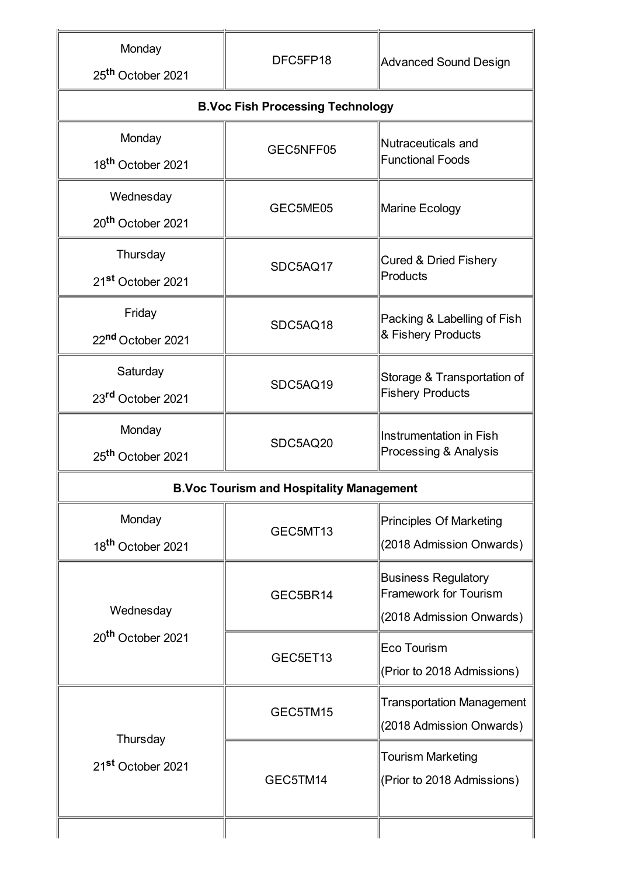| Monday<br>25 <sup>th</sup> October 2021 | DFC5FP18                                        | <b>Advanced Sound Design</b>                               |  |
|-----------------------------------------|-------------------------------------------------|------------------------------------------------------------|--|
|                                         | <b>B.Voc Fish Processing Technology</b>         |                                                            |  |
| Monday                                  | GEC5NFF05                                       | Nutraceuticals and                                         |  |
| 18 <sup>th</sup> October 2021           |                                                 | <b>Functional Foods</b>                                    |  |
| Wednesday                               | GEC5ME05                                        | Marine Ecology                                             |  |
| 20 <sup>th</sup> October 2021           |                                                 |                                                            |  |
| Thursday                                | SDC5AQ17                                        | <b>Cured &amp; Dried Fishery</b><br>Products               |  |
| 21 <sup>st</sup> October 2021           |                                                 |                                                            |  |
| Friday                                  | SDC5AQ18                                        | Packing & Labelling of Fish                                |  |
| 22nd October 2021                       |                                                 | & Fishery Products                                         |  |
| Saturday                                | SDC5AQ19                                        | Storage & Transportation of                                |  |
| 23rd October 2021                       |                                                 | <b>Fishery Products</b>                                    |  |
| Monday                                  | SDC5AQ20                                        | Instrumentation in Fish                                    |  |
| 25 <sup>th</sup> October 2021           |                                                 | Processing & Analysis                                      |  |
|                                         | <b>B.Voc Tourism and Hospitality Management</b> |                                                            |  |
| Monday                                  | GEC5MT13                                        | <b>Principles Of Marketing</b>                             |  |
| 18 <sup>th</sup> October 2021           |                                                 | (2018 Admission Onwards)                                   |  |
|                                         | GEC5BR14                                        | <b>Business Regulatory</b><br><b>Framework for Tourism</b> |  |
| Wednesday                               |                                                 | (2018 Admission Onwards)                                   |  |
| 20 <sup>th</sup> October 2021           | GEC5ET13                                        | Eco Tourism                                                |  |
|                                         |                                                 | (Prior to 2018 Admissions)                                 |  |
|                                         | GEC5TM15                                        | <b>Transportation Management</b>                           |  |
| Thursday                                |                                                 | (2018 Admission Onwards)                                   |  |
| 21 <sup>st</sup> October 2021           |                                                 | <b>Tourism Marketing</b>                                   |  |
|                                         | GEC5TM14                                        | (Prior to 2018 Admissions)                                 |  |
|                                         |                                                 |                                                            |  |